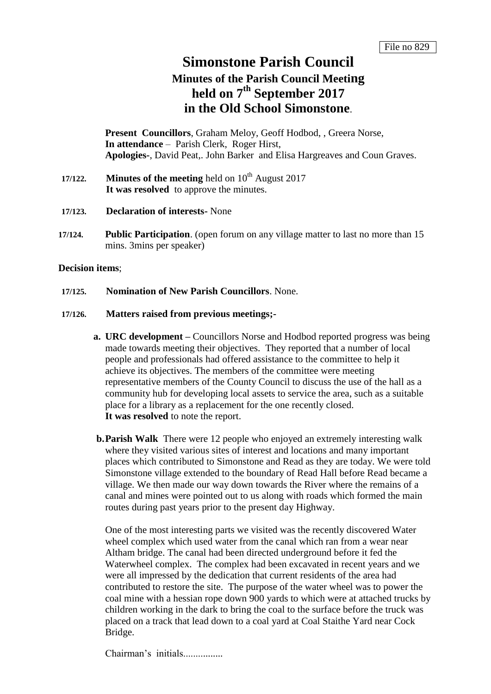## **Simonstone Parish Council**

# **Minutes of the Parish Council Meeting held on 7 th September 2017 in the Old School Simonstone**.

**Present Councillors**, Graham Meloy, Geoff Hodbod, , Greera Norse, **In attendance** – Parish Clerk, Roger Hirst, **Apologies-**, David Peat,. John Barker and Elisa Hargreaves and Coun Graves.

- **17/122. Minutes of the meeting** held on 10<sup>th</sup> August 2017 **It was resolved** to approve the minutes.
- **17/123. Declaration of interests-** None
- **17/124. Public Participation**. (open forum on any village matter to last no more than 15 mins. 3mins per speaker)

#### **Decision items**;

**17/125. Nomination of New Parish Councillors**. None.

#### **17/126. Matters raised from previous meetings;-**

- **a. URC development –** Councillors Norse and Hodbod reported progress was being made towards meeting their objectives. They reported that a number of local people and professionals had offered assistance to the committee to help it achieve its objectives. The members of the committee were meeting representative members of the County Council to discuss the use of the hall as a community hub for developing local assets to service the area, such as a suitable place for a library as a replacement for the one recently closed. **It was resolved** to note the report.
- **b.Parish Walk** There were 12 people who enjoyed an extremely interesting walk where they visited various sites of interest and locations and many important places which contributed to Simonstone and Read as they are today. We were told Simonstone village extended to the boundary of Read Hall before Read became a village. We then made our way down towards the River where the remains of a canal and mines were pointed out to us along with roads which formed the main routes during past years prior to the present day Highway.

One of the most interesting parts we visited was the recently discovered Water wheel complex which used water from the canal which ran from a wear near Altham bridge. The canal had been directed underground before it fed the Waterwheel complex. The complex had been excavated in recent years and we were all impressed by the dedication that current residents of the area had contributed to restore the site. The purpose of the water wheel was to power the coal mine with a hessian rope down 900 yards to which were at attached trucks by children working in the dark to bring the coal to the surface before the truck was placed on a track that lead down to a coal yard at Coal Staithe Yard near Cock Bridge.

Chairman's initials................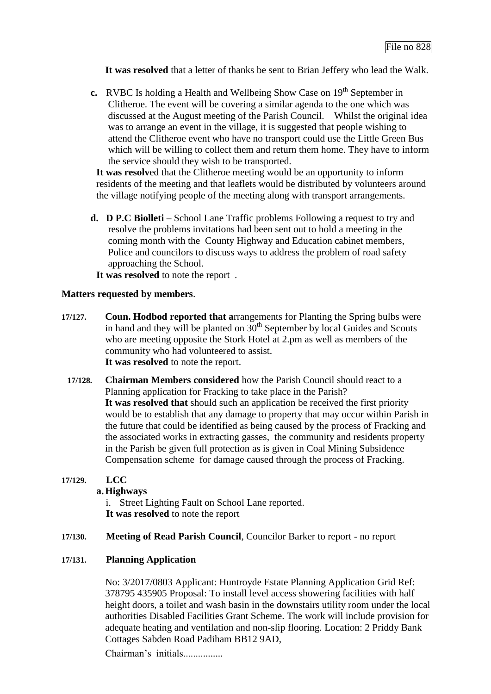**It was resolved** that a letter of thanks be sent to Brian Jeffery who lead the Walk.

**c.** RVBC Is holding a Health and Wellbeing Show Case on 19<sup>th</sup> September in Clitheroe. The event will be covering a similar agenda to the one which was discussed at the August meeting of the Parish Council. Whilst the original idea was to arrange an event in the village, it is suggested that people wishing to attend the Clitheroe event who have no transport could use the Little Green Bus which will be willing to collect them and return them home. They have to inform the service should they wish to be transported.

**It was resolv**ed that the Clitheroe meeting would be an opportunity to inform residents of the meeting and that leaflets would be distributed by volunteers around the village notifying people of the meeting along with transport arrangements.

**d. D P.C Biolleti –** School Lane Traffic problems Following a request to try and resolve the problems invitations had been sent out to hold a meeting in the coming month with the County Highway and Education cabinet members, Police and councilors to discuss ways to address the problem of road safety approaching the School.

**It was resolved** to note the report .

## **Matters requested by members**.

- **17/127. Coun. Hodbod reported that a**rrangements for Planting the Spring bulbs were in hand and they will be planted on  $30<sup>th</sup>$  September by local Guides and Scouts who are meeting opposite the Stork Hotel at 2.pm as well as members of the community who had volunteered to assist. **It was resolved** to note the report.
	- **17/128. Chairman Members considered** how the Parish Council should react to a Planning application for Fracking to take place in the Parish? **It was resolved that** should such an application be received the first priority would be to establish that any damage to property that may occur within Parish in the future that could be identified as being caused by the process of Fracking and the associated works in extracting gasses, the community and residents property in the Parish be given full protection as is given in Coal Mining Subsidence Compensation scheme for damage caused through the process of Fracking.

## **17/129. LCC**

## **a.Highways**

i. Street Lighting Fault on School Lane reported. **It was resolved** to note the report

**17/130. Meeting of Read Parish Council**, Councilor Barker to report - no report

## **17/131. Planning Application**

No: 3/2017/0803 Applicant: Huntroyde Estate Planning Application Grid Ref: 378795 435905 Proposal: To install level access showering facilities with half height doors, a toilet and wash basin in the downstairs utility room under the local authorities Disabled Facilities Grant Scheme. The work will include provision for adequate heating and ventilation and non-slip flooring. Location: 2 Priddy Bank Cottages Sabden Road Padiham BB12 9AD,

Chairman's initials................